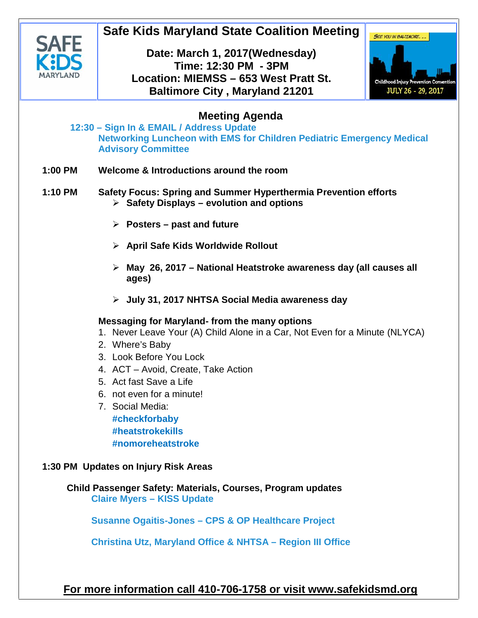

# **Safe Kids Maryland State Coalition Meeting**

### **Date: March 1, 2017(Wednesday) Time: 12:30 PM - 3PM Location: MIEMSS – 653 West Pratt St. Baltimore City , Maryland 21201**



## **Meeting Agenda**

- **12:30 – Sign In & EMAIL / Address Update Networking Luncheon with EMS for Children Pediatric Emergency Medical Advisory Committee**
- **1:00 PM Welcome & Introductions around the room**
- **1:10 PM Safety Focus: Spring and Summer Hyperthermia Prevention efforts Safety Displays – evolution and options**
	- **Posters – past and future**
	- **April Safe Kids Worldwide Rollout**
	- **May 26, 2017 – National Heatstroke awareness day (all causes all ages)**
	- **July 31, 2017 NHTSA Social Media awareness day**

#### **Messaging for Maryland- from the many options**

- 1. Never Leave Your (A) Child Alone in a Car, Not Even for a Minute (NLYCA)
- 2. Where's Baby
- 3. Look Before You Lock
- 4. ACT Avoid, Create, Take Action
- 5. Act fast Save a Life
- 6. not even for a minute!
- 7. Social Media: **#checkforbaby #heatstrokekills #nomoreheatstroke**

#### **1:30 PM Updates on Injury Risk Areas**

**Child Passenger Safety: Materials, Courses, Program updates Claire Myers – KISS Update**

**Susanne Ogaitis-Jones – CPS & OP Healthcare Project**

**Christina Utz, Maryland Office & NHTSA – Region III Office**

**For more information call 410-706-1758 or visit www.safekidsmd.org**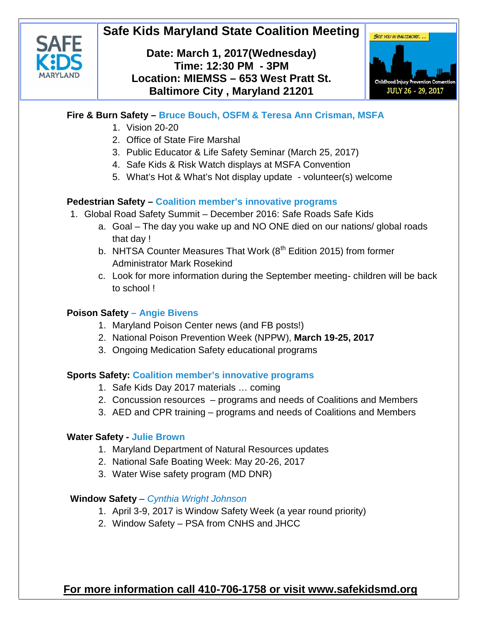# **Safe Kids Maryland State Coalition Meeting**



### **Date: March 1, 2017(Wednesday) Time: 12:30 PM - 3PM Location: MIEMSS – 653 West Pratt St. Baltimore City , Maryland 21201**



#### **Fire & Burn Safety – Bruce Bouch, OSFM & Teresa Ann Crisman, MSFA**

- 1. Vision 20-20
- 2. Office of State Fire Marshal
- 3. Public Educator & Life Safety Seminar (March 25, 2017)
- 4. Safe Kids & Risk Watch displays at MSFA Convention
- 5. What's Hot & What's Not display update volunteer(s) welcome

#### **Pedestrian Safety – Coalition member's innovative programs**

- 1. Global Road Safety Summit December 2016: Safe Roads Safe Kids
	- a. Goal The day you wake up and NO ONE died on our nations/ global roads that day !
	- b. NHTSA Counter Measures That Work  $(8<sup>th</sup>$  Edition 2015) from former Administrator Mark Rosekind
	- c. Look for more information during the September meeting- children will be back to school !

#### **Poison Safety – Angie Bivens**

- 1. Maryland Poison Center news (and FB posts!)
- 2. National Poison Prevention Week (NPPW), **March 19-25, 2017**
- 3. Ongoing Medication Safety educational programs

#### **Sports Safety: Coalition member's innovative programs**

- 1. Safe Kids Day 2017 materials … coming
- 2. Concussion resources programs and needs of Coalitions and Members
- 3. AED and CPR training programs and needs of Coalitions and Members

#### **Water Safety - Julie Brown**

- 1. Maryland Department of Natural Resources updates
- 2. National Safe Boating Week: May 20-26, 2017
- 3. Water Wise safety program (MD DNR)

### **Window Safety** – *Cynthia Wright Johnson*

- 1. April 3-9, 2017 is Window Safety Week (a year round priority)
- 2. Window Safety PSA from CNHS and JHCC

## **For more information call 410-706-1758 or visit www.safekidsmd.org**